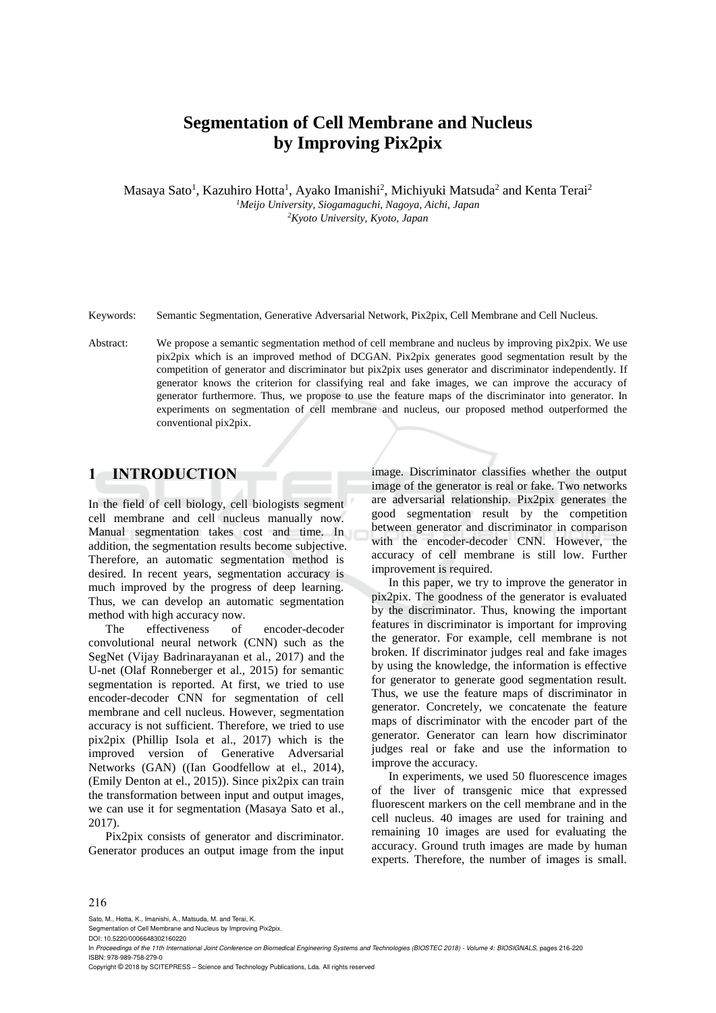# **Segmentation of Cell Membrane and Nucleus by Improving Pix2pix**

Masaya Sato<sup>1</sup>, Kazuhiro Hotta<sup>1</sup>, Ayako Imanishi<sup>2</sup>, Michiyuki Matsuda<sup>2</sup> and Kenta Terai<sup>2</sup> *<sup>1</sup>Meijo University, Siogamaguchi, Nagoya, Aichi, Japan <sup>2</sup>Kyoto University, Kyoto, Japan* 

Keywords: Semantic Segmentation, Generative Adversarial Network, Pix2pix, Cell Membrane and Cell Nucleus.

Abstract: We propose a semantic segmentation method of cell membrane and nucleus by improving pix2pix. We use pix2pix which is an improved method of DCGAN. Pix2pix generates good segmentation result by the competition of generator and discriminator but pix2pix uses generator and discriminator independently. If generator knows the criterion for classifying real and fake images, we can improve the accuracy of generator furthermore. Thus, we propose to use the feature maps of the discriminator into generator. In experiments on segmentation of cell membrane and nucleus, our proposed method outperformed the conventional pix2pix.

### **1 INTRODUCTION**

In the field of cell biology, cell biologists segment cell membrane and cell nucleus manually now. Manual segmentation takes cost and time. In addition, the segmentation results become subjective. Therefore, an automatic segmentation method is desired. In recent years, segmentation accuracy is much improved by the progress of deep learning. Thus, we can develop an automatic segmentation method with high accuracy now.

The effectiveness of encoder-decoder convolutional neural network (CNN) such as the SegNet (Vijay Badrinarayanan et al., 2017) and the U-net (Olaf Ronneberger et al., 2015) for semantic segmentation is reported. At first, we tried to use encoder-decoder CNN for segmentation of cell membrane and cell nucleus. However, segmentation accuracy is not sufficient. Therefore, we tried to use pix2pix (Phillip Isola et al., 2017) which is the improved version of Generative Adversarial Networks (GAN) ((Ian Goodfellow at el., 2014), (Emily Denton at el., 2015)). Since pix2pix can train the transformation between input and output images, we can use it for segmentation (Masaya Sato et al., 2017).

Pix2pix consists of generator and discriminator. Generator produces an output image from the input image. Discriminator classifies whether the output image of the generator is real or fake. Two networks are adversarial relationship. Pix2pix generates the good segmentation result by the competition between generator and discriminator in comparison with the encoder-decoder CNN. However, the accuracy of cell membrane is still low. Further improvement is required.

In this paper, we try to improve the generator in pix2pix. The goodness of the generator is evaluated by the discriminator. Thus, knowing the important features in discriminator is important for improving the generator. For example, cell membrane is not broken. If discriminator judges real and fake images by using the knowledge, the information is effective for generator to generate good segmentation result. Thus, we use the feature maps of discriminator in generator. Concretely, we concatenate the feature maps of discriminator with the encoder part of the generator. Generator can learn how discriminator judges real or fake and use the information to improve the accuracy.

In experiments, we used 50 fluorescence images of the liver of transgenic mice that expressed fluorescent markers on the cell membrane and in the cell nucleus. 40 images are used for training and remaining 10 images are used for evaluating the accuracy. Ground truth images are made by human experts. Therefore, the number of images is small.

#### 216

Sato, M., Hotta, K., Imanishi, A., Matsuda, M. and Terai, K.

Segmentation of Cell Membrane and Nucleus by Improving Pix2pix.

DOI: 10.5220/0006648302160220

Copyright © 2018 by SCITEPRESS – Science and Technology Publications, Lda. All rights reserved

In *Proceedings of the 11th International Joint Conference on Biomedical Engineering Systems and Technologies (BIOSTEC 2018) - Volume 4: BIOSIGNALS*, pages 216-220 ISBN: 978-989-758-279-0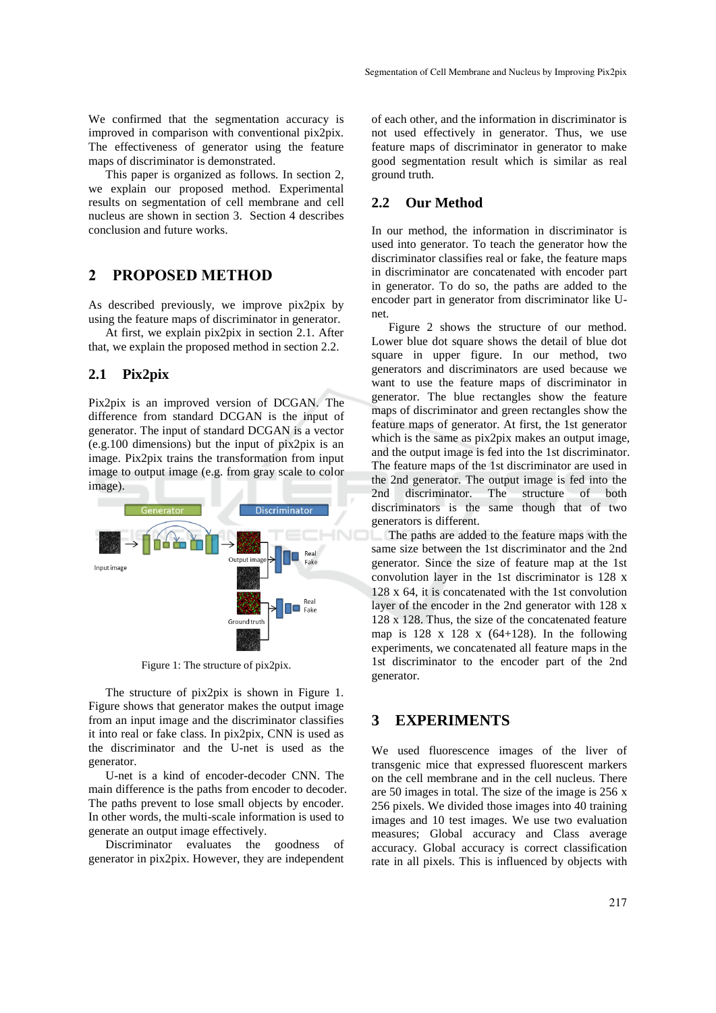We confirmed that the segmentation accuracy is improved in comparison with conventional pix2pix. The effectiveness of generator using the feature maps of discriminator is demonstrated.

This paper is organized as follows. In section 2, we explain our proposed method. Experimental results on segmentation of cell membrane and cell nucleus are shown in section 3. Section 4 describes conclusion and future works.

## **2 PROPOSED METHOD**

As described previously, we improve pix2pix by using the feature maps of discriminator in generator.

At first, we explain pix2pix in section 2.1. After that, we explain the proposed method in section 2.2.

#### **2.1 Pix2pix**

Pix2pix is an improved version of DCGAN. The difference from standard DCGAN is the input of generator. The input of standard DCGAN is a vector (e.g.100 dimensions) but the input of pix2pix is an image. Pix2pix trains the transformation from input image to output image (e.g. from gray scale to color image).



Figure 1: The structure of pix2pix.

The structure of pix2pix is shown in Figure 1. Figure shows that generator makes the output image from an input image and the discriminator classifies it into real or fake class. In pix2pix, CNN is used as the discriminator and the U-net is used as the generator.

U-net is a kind of encoder-decoder CNN. The main difference is the paths from encoder to decoder. The paths prevent to lose small objects by encoder. In other words, the multi-scale information is used to generate an output image effectively.

Discriminator evaluates the goodness of generator in pix2pix. However, they are independent of each other, and the information in discriminator is not used effectively in generator. Thus, we use feature maps of discriminator in generator to make good segmentation result which is similar as real ground truth.

#### **2.2 Our Method**

In our method, the information in discriminator is used into generator. To teach the generator how the discriminator classifies real or fake, the feature maps in discriminator are concatenated with encoder part in generator. To do so, the paths are added to the encoder part in generator from discriminator like Unet.

Figure 2 shows the structure of our method. Lower blue dot square shows the detail of blue dot square in upper figure. In our method, two generators and discriminators are used because we want to use the feature maps of discriminator in generator. The blue rectangles show the feature maps of discriminator and green rectangles show the feature maps of generator. At first, the 1st generator which is the same as pix2pix makes an output image, and the output image is fed into the 1st discriminator. The feature maps of the 1st discriminator are used in the 2nd generator. The output image is fed into the 2nd discriminator. The structure of both discriminators is the same though that of two generators is different.

The paths are added to the feature maps with the same size between the 1st discriminator and the 2nd generator. Since the size of feature map at the 1st convolution layer in the 1st discriminator is 128 x 128 x 64, it is concatenated with the 1st convolution layer of the encoder in the 2nd generator with 128 x 128 x 128. Thus, the size of the concatenated feature map is  $128 \times 128 \times (64+128)$ . In the following experiments, we concatenated all feature maps in the 1st discriminator to the encoder part of the 2nd generator.

# **3 EXPERIMENTS**

We used fluorescence images of the liver of transgenic mice that expressed fluorescent markers on the cell membrane and in the cell nucleus. There are 50 images in total. The size of the image is 256 x 256 pixels. We divided those images into 40 training images and 10 test images. We use two evaluation measures; Global accuracy and Class average accuracy. Global accuracy is correct classification rate in all pixels. This is influenced by objects with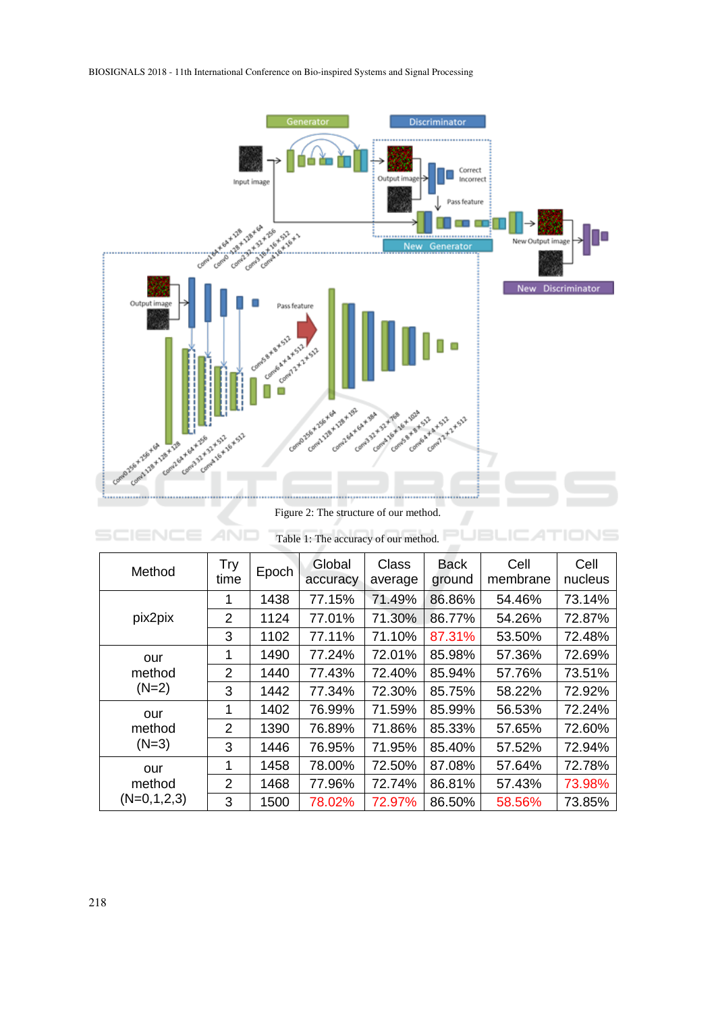

Figure 2: The structure of our method.

JBLIC

TIONS

ÞL

| Table 1: The accuracy of our method. |                |                    |                    |                         |                       |                  |                 |  |  |
|--------------------------------------|----------------|--------------------|--------------------|-------------------------|-----------------------|------------------|-----------------|--|--|
| Method                               | Try<br>time    | Epoch <sup>1</sup> | Global<br>accuracy | <b>Class</b><br>average | <b>Back</b><br>ground | Cell<br>membrane | Cell<br>nucleus |  |  |
| pix2pix                              | 1              | 1438               | 77.15%             | 71.49%                  | 86.86%                | 54.46%           | 73.14%          |  |  |
|                                      | 2              | 1124               | 77.01%             | 71.30%                  | 86.77%                | 54.26%           | 72.87%          |  |  |
|                                      | 3              | 1102               | 77.11%             | 71.10%                  | 87.31%                | 53.50%           | 72.48%          |  |  |
| our<br>method<br>$(N=2)$             | 1              | 1490               | 77.24%             | 72.01%                  | 85.98%                | 57.36%           | 72.69%          |  |  |
|                                      | $\overline{2}$ | 1440               | 77.43%             | 72.40%                  | 85.94%                | 57.76%           | 73.51%          |  |  |
|                                      | 3              | 1442               | 77.34%             | 72.30%                  | 85.75%                | 58.22%           | 72.92%          |  |  |
| our<br>method<br>$(N=3)$             | 1              | 1402               | 76.99%             | 71.59%                  | 85.99%                | 56.53%           | 72.24%          |  |  |
|                                      | 2              | 1390               | 76.89%             | 71.86%                  | 85.33%                | 57.65%           | 72.60%          |  |  |
|                                      | 3              | 1446               | 76.95%             | 71.95%                  | 85.40%                | 57.52%           | 72.94%          |  |  |
| our<br>method<br>$(N=0,1,2,3)$       | 1              | 1458               | 78.00%             | 72.50%                  | 87.08%                | 57.64%           | 72.78%          |  |  |
|                                      | $\overline{2}$ | 1468               | 77.96%             | 72.74%                  | 86.81%                | 57.43%           | 73.98%          |  |  |
|                                      | 3              | 1500               | 78.02%             | 72.97%                  | 86.50%                | 58.56%           | 73.85%          |  |  |

**SCIENCE AND**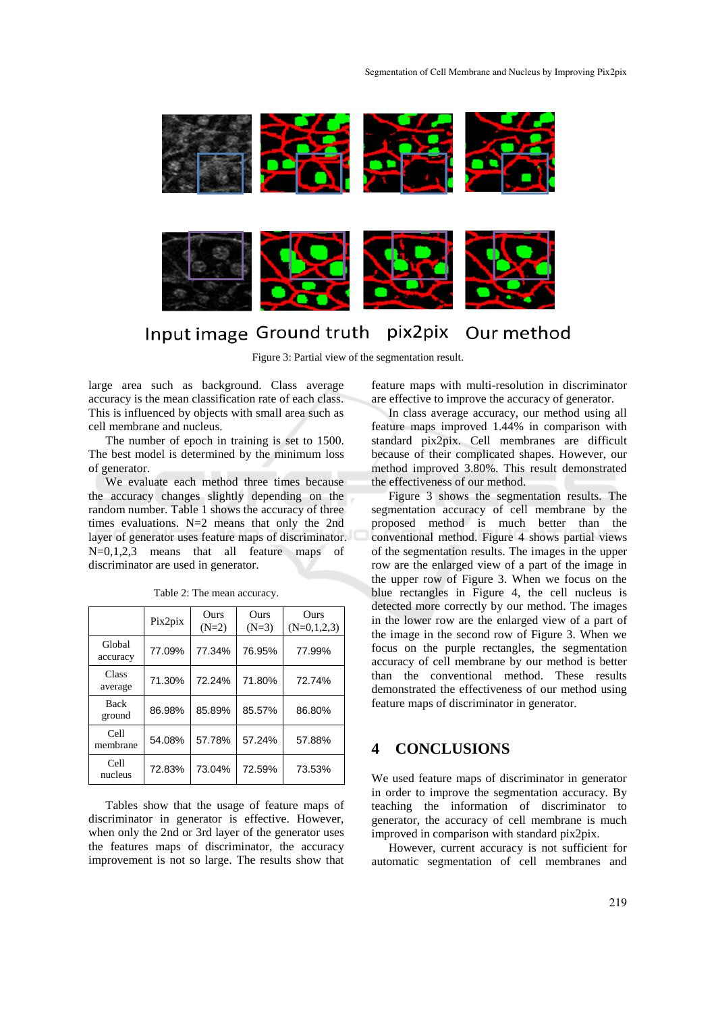

# Input image Ground truth pix2pix Our method

Figure 3: Partial view of the segmentation result.

large area such as background. Class average accuracy is the mean classification rate of each class. This is influenced by objects with small area such as cell membrane and nucleus.

The number of epoch in training is set to 1500. The best model is determined by the minimum loss of generator.

We evaluate each method three times because the accuracy changes slightly depending on the random number. Table 1 shows the accuracy of three times evaluations. N=2 means that only the 2nd layer of generator uses feature maps of discriminator. N=0,1,2,3 means that all feature maps of discriminator are used in generator.

|                       | Pix2pix | Ours<br>$(N=2)$ | Ours<br>$(N=3)$ | Ours<br>$(N=0,1,2,3)$ |
|-----------------------|---------|-----------------|-----------------|-----------------------|
| Global<br>accuracy    | 77.09%  | 77.34%          | 76.95%          | 77.99%                |
| Class<br>average      | 71.30%  | 72.24%          | 71.80%          | 72.74%                |
| <b>Back</b><br>ground | 86.98%  | 85.89%          | 85.57%          | 86.80%                |
| Cell<br>membrane      | 54.08%  | 57.78%          | 57.24%          | 57.88%                |
| Cell<br>nucleus       | 72.83%  | 73.04%          | 72.59%          | 73.53%                |

Table 2: The mean accuracy.

Tables show that the usage of feature maps of discriminator in generator is effective. However, when only the 2nd or 3rd layer of the generator uses the features maps of discriminator, the accuracy improvement is not so large. The results show that

feature maps with multi-resolution in discriminator are effective to improve the accuracy of generator.

In class average accuracy, our method using all feature maps improved 1.44% in comparison with standard pix2pix. Cell membranes are difficult because of their complicated shapes. However, our method improved 3.80%. This result demonstrated the effectiveness of our method.

Figure 3 shows the segmentation results. The segmentation accuracy of cell membrane by the proposed method is much better than the conventional method. Figure 4 shows partial views of the segmentation results. The images in the upper row are the enlarged view of a part of the image in the upper row of Figure 3. When we focus on the blue rectangles in Figure 4, the cell nucleus is detected more correctly by our method. The images in the lower row are the enlarged view of a part of the image in the second row of Figure 3. When we focus on the purple rectangles, the segmentation accuracy of cell membrane by our method is better than the conventional method. These results demonstrated the effectiveness of our method using feature maps of discriminator in generator.

## **4 CONCLUSIONS**

We used feature maps of discriminator in generator in order to improve the segmentation accuracy. By teaching the information of discriminator to generator, the accuracy of cell membrane is much improved in comparison with standard pix2pix.

However, current accuracy is not sufficient for automatic segmentation of cell membranes and